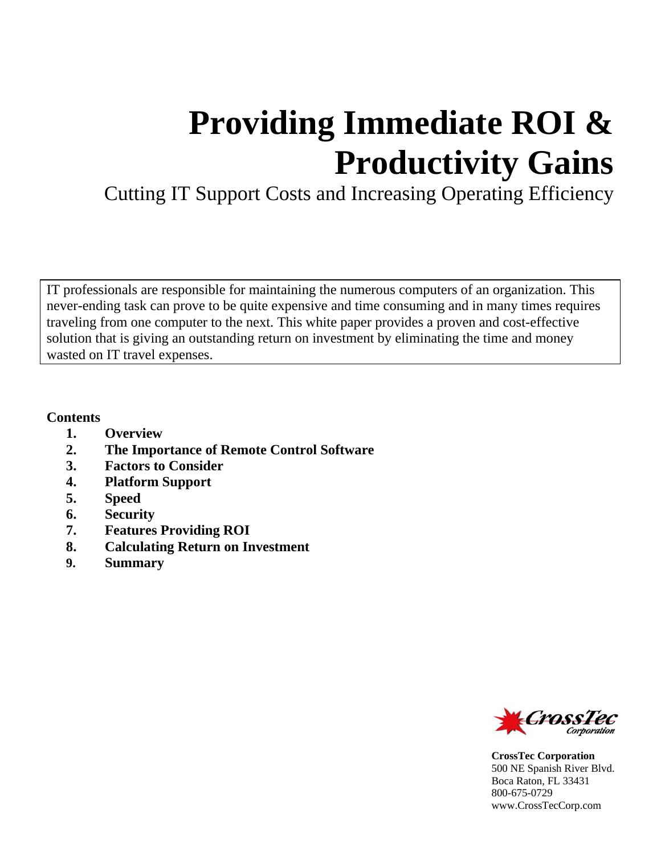# **Providing Immediate ROI & Productivity Gains**

Cutting IT Support Costs and Increasing Operating Efficiency

IT professionals are responsible for maintaining the numerous computers of an organization. This never-ending task can prove to be quite expensive and time consuming and in many times requires traveling from one computer to the next. This white paper provides a proven and cost-effective solution that is giving an outstanding return on investment by eliminating the time and money wasted on IT travel expenses.

#### **Contents**

- **1. Overview**
- **2. The Importance of Remote Control Software**
- **3. Factors to Consider**
- **4. Platform Support**
- **5. Speed**
- **6. Security**
- **7. Features Providing ROI**
- **8. Calculating Return on Investment**
- **9. Summary**



**CrossTec Corporation**  500 NE Spanish River Blvd. Boca Raton, FL 33431 800-675-0729 www.CrossTecCorp.com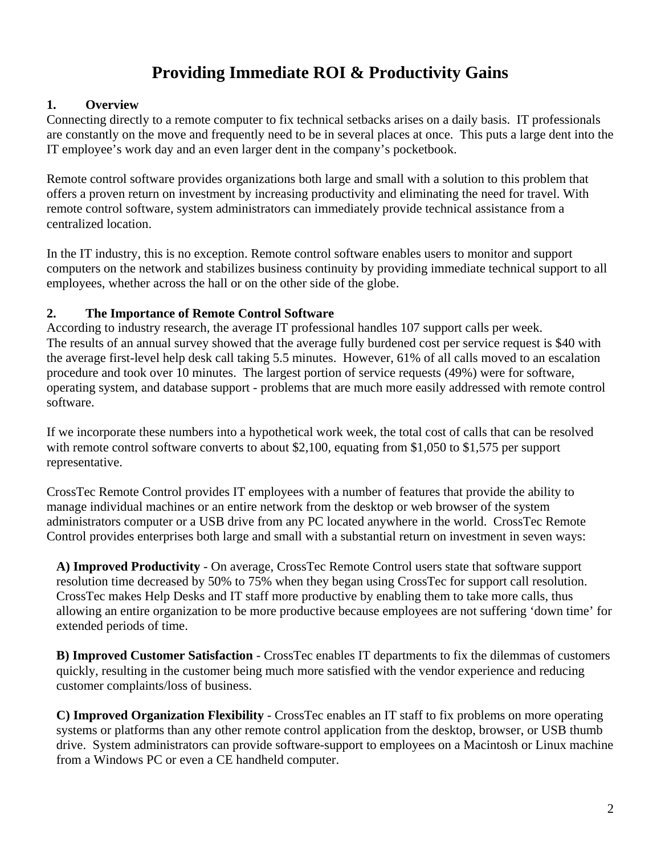# **Providing Immediate ROI & Productivity Gains**

#### **1. Overview**

Connecting directly to a remote computer to fix technical setbacks arises on a daily basis. IT professionals are constantly on the move and frequently need to be in several places at once. This puts a large dent into the IT employee's work day and an even larger dent in the company's pocketbook.

Remote control software provides organizations both large and small with a solution to this problem that offers a proven return on investment by increasing productivity and eliminating the need for travel. With remote control software, system administrators can immediately provide technical assistance from a centralized location.

In the IT industry, this is no exception. Remote control software enables users to monitor and support computers on the network and stabilizes business continuity by providing immediate technical support to all employees, whether across the hall or on the other side of the globe.

#### **2. The Importance of Remote Control Software**

According to industry research, the average IT professional handles 107 support calls per week. The results of an annual survey showed that the average fully burdened cost per service request is \$40 with the average first-level help desk call taking 5.5 minutes. However, 61% of all calls moved to an escalation procedure and took over 10 minutes. The largest portion of service requests (49%) were for software, operating system, and database support - problems that are much more easily addressed with remote control software.

If we incorporate these numbers into a hypothetical work week, the total cost of calls that can be resolved with remote control software converts to about \$2,100, equating from \$1,050 to \$1,575 per support representative.

CrossTec Remote Control provides IT employees with a number of features that provide the ability to manage individual machines or an entire network from the desktop or web browser of the system administrators computer or a USB drive from any PC located anywhere in the world. CrossTec Remote Control provides enterprises both large and small with a substantial return on investment in seven ways:

**A) Improved Productivity** - On average, CrossTec Remote Control users state that software support resolution time decreased by 50% to 75% when they began using CrossTec for support call resolution. CrossTec makes Help Desks and IT staff more productive by enabling them to take more calls, thus allowing an entire organization to be more productive because employees are not suffering 'down time' for extended periods of time.

**B) Improved Customer Satisfaction** - CrossTec enables IT departments to fix the dilemmas of customers quickly, resulting in the customer being much more satisfied with the vendor experience and reducing customer complaints/loss of business.

**C) Improved Organization Flexibility** - CrossTec enables an IT staff to fix problems on more operating systems or platforms than any other remote control application from the desktop, browser, or USB thumb drive. System administrators can provide software-support to employees on a Macintosh or Linux machine from a Windows PC or even a CE handheld computer.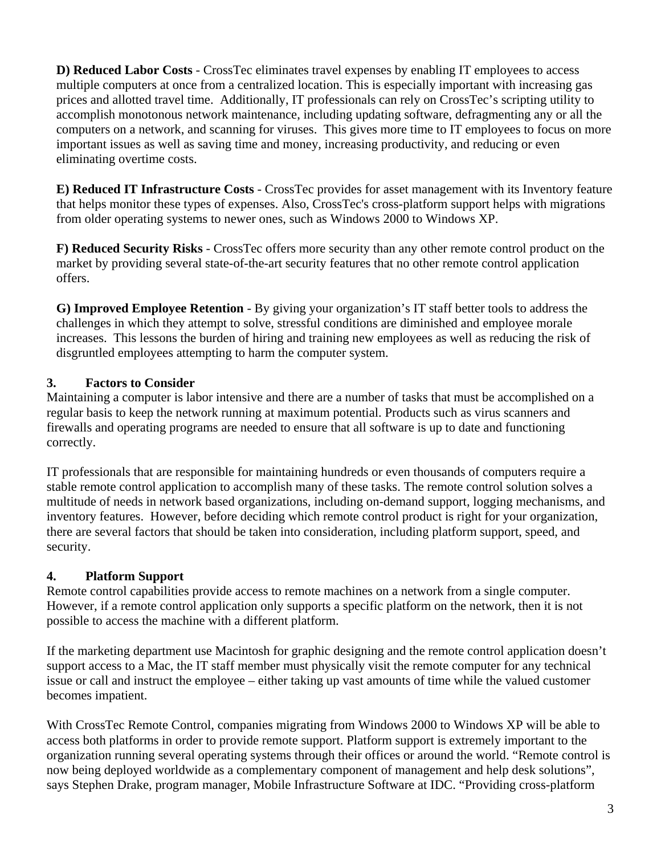**D) Reduced Labor Costs** - CrossTec eliminates travel expenses by enabling IT employees to access multiple computers at once from a centralized location. This is especially important with increasing gas prices and allotted travel time. Additionally, IT professionals can rely on CrossTec's scripting utility to accomplish monotonous network maintenance, including updating software, defragmenting any or all the computers on a network, and scanning for viruses. This gives more time to IT employees to focus on more important issues as well as saving time and money, increasing productivity, and reducing or even eliminating overtime costs.

**E) Reduced IT Infrastructure Costs** - CrossTec provides for asset management with its Inventory feature that helps monitor these types of expenses. Also, CrossTec's cross-platform support helps with migrations from older operating systems to newer ones, such as Windows 2000 to Windows XP.

**F) Reduced Security Risks** - CrossTec offers more security than any other remote control product on the market by providing several state-of-the-art security features that no other remote control application offers.

**G) Improved Employee Retention** - By giving your organization's IT staff better tools to address the challenges in which they attempt to solve, stressful conditions are diminished and employee morale increases. This lessons the burden of hiring and training new employees as well as reducing the risk of disgruntled employees attempting to harm the computer system.

# **3. Factors to Consider**

Maintaining a computer is labor intensive and there are a number of tasks that must be accomplished on a regular basis to keep the network running at maximum potential. Products such as virus scanners and firewalls and operating programs are needed to ensure that all software is up to date and functioning correctly.

IT professionals that are responsible for maintaining hundreds or even thousands of computers require a stable remote control application to accomplish many of these tasks. The remote control solution solves a multitude of needs in network based organizations, including on-demand support, logging mechanisms, and inventory features. However, before deciding which remote control product is right for your organization, there are several factors that should be taken into consideration, including platform support, speed, and security.

### **4. Platform Support**

Remote control capabilities provide access to remote machines on a network from a single computer. However, if a remote control application only supports a specific platform on the network, then it is not possible to access the machine with a different platform.

If the marketing department use Macintosh for graphic designing and the remote control application doesn't support access to a Mac, the IT staff member must physically visit the remote computer for any technical issue or call and instruct the employee – either taking up vast amounts of time while the valued customer becomes impatient.

With CrossTec Remote Control, companies migrating from Windows 2000 to Windows XP will be able to access both platforms in order to provide remote support. Platform support is extremely important to the organization running several operating systems through their offices or around the world. "Remote control is now being deployed worldwide as a complementary component of management and help desk solutions", says Stephen Drake, program manager, Mobile Infrastructure Software at IDC. "Providing cross-platform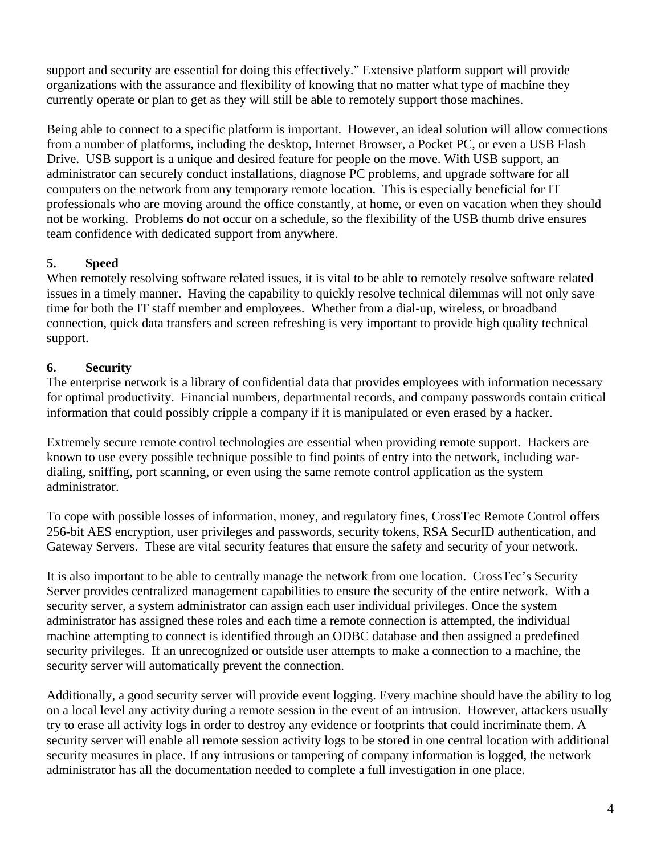support and security are essential for doing this effectively." Extensive platform support will provide organizations with the assurance and flexibility of knowing that no matter what type of machine they currently operate or plan to get as they will still be able to remotely support those machines.

Being able to connect to a specific platform is important. However, an ideal solution will allow connections from a number of platforms, including the desktop, Internet Browser, a Pocket PC, or even a USB Flash Drive. USB support is a unique and desired feature for people on the move. With USB support, an administrator can securely conduct installations, diagnose PC problems, and upgrade software for all computers on the network from any temporary remote location. This is especially beneficial for IT professionals who are moving around the office constantly, at home, or even on vacation when they should not be working. Problems do not occur on a schedule, so the flexibility of the USB thumb drive ensures team confidence with dedicated support from anywhere.

### **5. Speed**

When remotely resolving software related issues, it is vital to be able to remotely resolve software related issues in a timely manner. Having the capability to quickly resolve technical dilemmas will not only save time for both the IT staff member and employees. Whether from a dial-up, wireless, or broadband connection, quick data transfers and screen refreshing is very important to provide high quality technical support.

# **6. Security**

The enterprise network is a library of confidential data that provides employees with information necessary for optimal productivity. Financial numbers, departmental records, and company passwords contain critical information that could possibly cripple a company if it is manipulated or even erased by a hacker.

Extremely secure remote control technologies are essential when providing remote support. Hackers are known to use every possible technique possible to find points of entry into the network, including wardialing, sniffing, port scanning, or even using the same remote control application as the system administrator.

To cope with possible losses of information, money, and regulatory fines, CrossTec Remote Control offers 256-bit AES encryption, user privileges and passwords, security tokens, RSA SecurID authentication, and Gateway Servers. These are vital security features that ensure the safety and security of your network.

It is also important to be able to centrally manage the network from one location. CrossTec's Security Server provides centralized management capabilities to ensure the security of the entire network. With a security server, a system administrator can assign each user individual privileges. Once the system administrator has assigned these roles and each time a remote connection is attempted, the individual machine attempting to connect is identified through an ODBC database and then assigned a predefined security privileges. If an unrecognized or outside user attempts to make a connection to a machine, the security server will automatically prevent the connection.

Additionally, a good security server will provide event logging. Every machine should have the ability to log on a local level any activity during a remote session in the event of an intrusion. However, attackers usually try to erase all activity logs in order to destroy any evidence or footprints that could incriminate them. A security server will enable all remote session activity logs to be stored in one central location with additional security measures in place. If any intrusions or tampering of company information is logged, the network administrator has all the documentation needed to complete a full investigation in one place.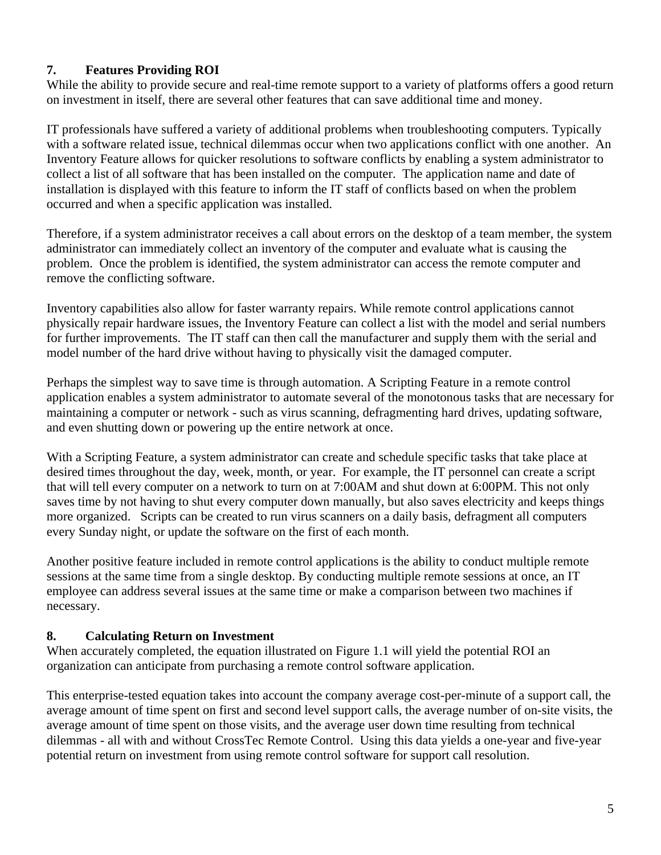## **7. Features Providing ROI**

While the ability to provide secure and real-time remote support to a variety of platforms offers a good return on investment in itself, there are several other features that can save additional time and money.

IT professionals have suffered a variety of additional problems when troubleshooting computers. Typically with a software related issue, technical dilemmas occur when two applications conflict with one another. An Inventory Feature allows for quicker resolutions to software conflicts by enabling a system administrator to collect a list of all software that has been installed on the computer. The application name and date of installation is displayed with this feature to inform the IT staff of conflicts based on when the problem occurred and when a specific application was installed.

Therefore, if a system administrator receives a call about errors on the desktop of a team member, the system administrator can immediately collect an inventory of the computer and evaluate what is causing the problem. Once the problem is identified, the system administrator can access the remote computer and remove the conflicting software.

Inventory capabilities also allow for faster warranty repairs. While remote control applications cannot physically repair hardware issues, the Inventory Feature can collect a list with the model and serial numbers for further improvements. The IT staff can then call the manufacturer and supply them with the serial and model number of the hard drive without having to physically visit the damaged computer.

Perhaps the simplest way to save time is through automation. A Scripting Feature in a remote control application enables a system administrator to automate several of the monotonous tasks that are necessary for maintaining a computer or network - such as virus scanning, defragmenting hard drives, updating software, and even shutting down or powering up the entire network at once.

With a Scripting Feature, a system administrator can create and schedule specific tasks that take place at desired times throughout the day, week, month, or year. For example, the IT personnel can create a script that will tell every computer on a network to turn on at 7:00AM and shut down at 6:00PM. This not only saves time by not having to shut every computer down manually, but also saves electricity and keeps things more organized. Scripts can be created to run virus scanners on a daily basis, defragment all computers every Sunday night, or update the software on the first of each month.

Another positive feature included in remote control applications is the ability to conduct multiple remote sessions at the same time from a single desktop. By conducting multiple remote sessions at once, an IT employee can address several issues at the same time or make a comparison between two machines if necessary.

### **8. Calculating Return on Investment**

When accurately completed, the equation illustrated on Figure 1.1 will yield the potential ROI an organization can anticipate from purchasing a remote control software application.

This enterprise-tested equation takes into account the company average cost-per-minute of a support call, the average amount of time spent on first and second level support calls, the average number of on-site visits, the average amount of time spent on those visits, and the average user down time resulting from technical dilemmas - all with and without CrossTec Remote Control. Using this data yields a one-year and five-year potential return on investment from using remote control software for support call resolution.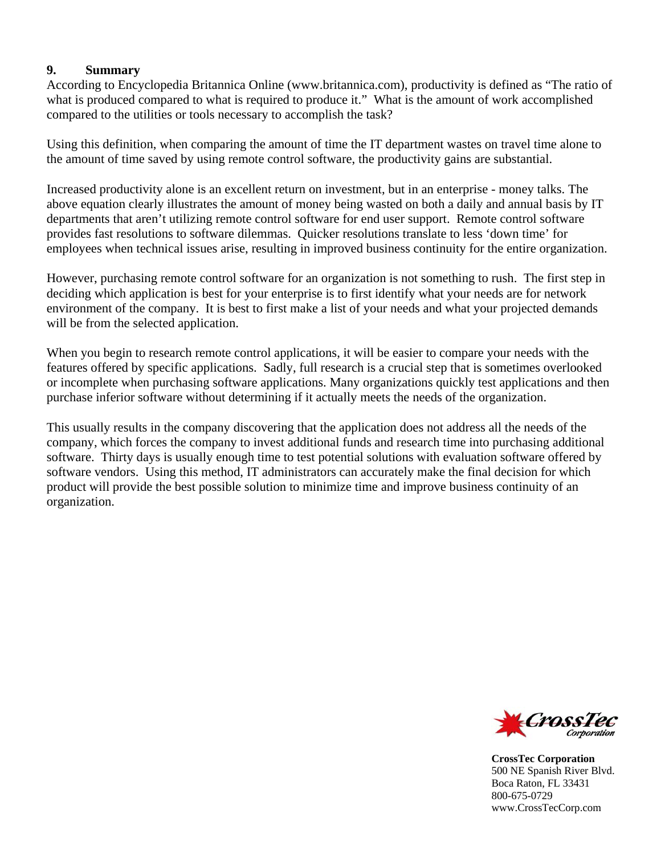#### **9. Summary**

According to Encyclopedia Britannica Online (www.britannica.com), productivity is defined as "The ratio of what is produced compared to what is required to produce it." What is the amount of work accomplished compared to the utilities or tools necessary to accomplish the task?

Using this definition, when comparing the amount of time the IT department wastes on travel time alone to the amount of time saved by using remote control software, the productivity gains are substantial.

Increased productivity alone is an excellent return on investment, but in an enterprise - money talks. The above equation clearly illustrates the amount of money being wasted on both a daily and annual basis by IT departments that aren't utilizing remote control software for end user support. Remote control software provides fast resolutions to software dilemmas. Quicker resolutions translate to less 'down time' for employees when technical issues arise, resulting in improved business continuity for the entire organization.

However, purchasing remote control software for an organization is not something to rush. The first step in deciding which application is best for your enterprise is to first identify what your needs are for network environment of the company. It is best to first make a list of your needs and what your projected demands will be from the selected application.

When you begin to research remote control applications, it will be easier to compare your needs with the features offered by specific applications. Sadly, full research is a crucial step that is sometimes overlooked or incomplete when purchasing software applications. Many organizations quickly test applications and then purchase inferior software without determining if it actually meets the needs of the organization.

This usually results in the company discovering that the application does not address all the needs of the company, which forces the company to invest additional funds and research time into purchasing additional software. Thirty days is usually enough time to test potential solutions with evaluation software offered by software vendors. Using this method, IT administrators can accurately make the final decision for which product will provide the best possible solution to minimize time and improve business continuity of an organization.



**CrossTec Corporation**  500 NE Spanish River Blvd. Boca Raton, FL 33431 800-675-0729 www.CrossTecCorp.com